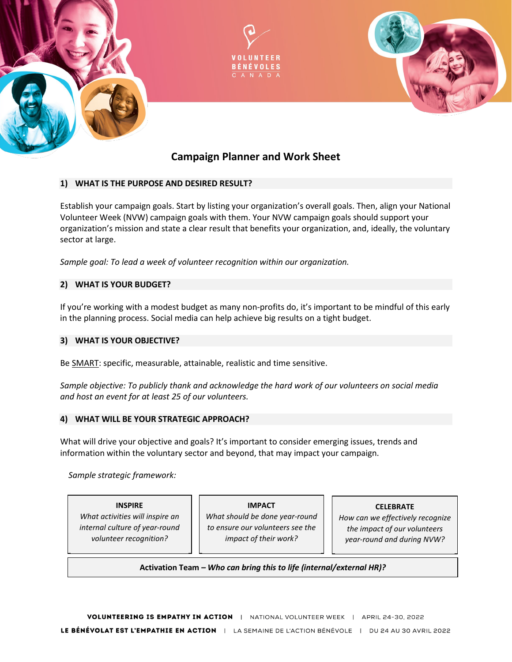



# **Campaign Planner and Work Sheet**

# **1) WHAT IS THE PURPOSE AND DESIRED RESULT?**

Establish your campaign goals. Start by listing your organization's overall goals. Then, align your National Volunteer Week (NVW) campaign goals with them. Your NVW campaign goals should support your organization's mission and state a clear result that benefits your organization, and, ideally, the voluntary sector at large.

*Sample goal: To lead a week of volunteer recognition within our organization.*

## **2) WHAT IS YOUR BUDGET?**

If you're working with a modest budget as many non-profits do, it's important to be mindful of this early in the planning process. Social media can help achieve big results on a tight budget.

## **3) WHAT IS YOUR OBJECTIVE?**

Be [SMART:](http://en.wikipedia.org/wiki/SMART_objective) specific, measurable, attainable, realistic and time sensitive.

*Sample objective: To publicly thank and acknowledge the hard work of our volunteers on social media and host an event for at least 25 of our volunteers.*

#### **4) WHAT WILL BE YOUR STRATEGIC APPROACH?**

What will drive your objective and goals? It's important to consider emerging issues, trends and information within the voluntary sector and beyond, that may impact your campaign.

 *Sample strategic framework:*

**INSPIRE** *What activities will inspire an internal culture of year-round volunteer recognition?*

**IMPACT** *What should be done year-round to ensure our volunteers see the impact of their work?*

#### **CELEBRATE**

*How can we effectively recognize the impact of our volunteers year-round and during NVW?*

#### **Activation Team** *– Who can bring this to life (internal/external HR)?*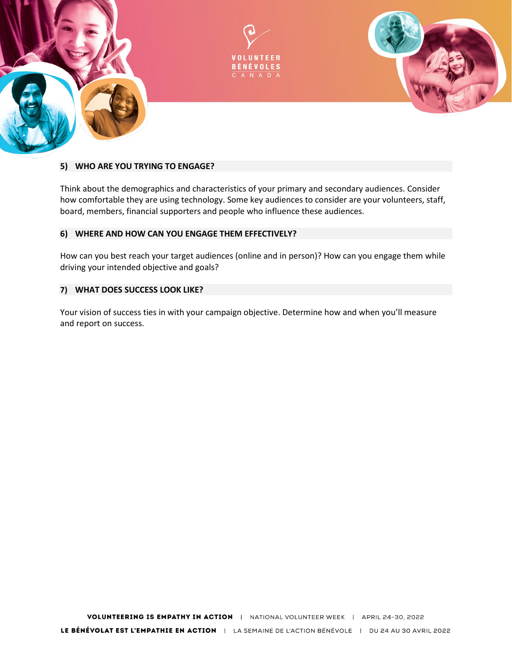

## **5) WHO ARE YOU TRYING TO ENGAGE?**

Think about the demographics and characteristics of your primary and secondary audiences. Consider how comfortable they are using technology. Some key audiences to consider are your volunteers, staff, board, members, financial supporters and people who influence these audiences.

### **6) WHERE AND HOW CAN YOU ENGAGE THEM EFFECTIVELY?**

How can you best reach your target audiences (online and in person)? How can you engage them while driving your intended objective and goals?

## **7) WHAT DOES SUCCESS LOOK LIKE?**

Your vision of success ties in with your campaign objective. Determine how and when you'll measure and report on success.